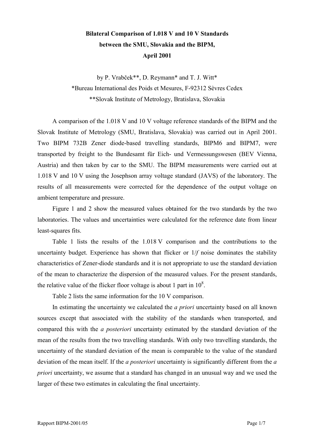## **Bilateral Comparison of 1.018 V and 10 V Standards between the SMU, Slovakia and the BIPM, April 2001**

by P. Vrabček\*\*, D. Reymann\* and T. J. Witt\* \*Bureau International des Poids et Mesures, F-92312 SËvres Cedex \*\*Slovak Institute of Metrology, Bratislava, Slovakia

A comparison of the 1.018 V and 10 V voltage reference standards of the BIPM and the Slovak Institute of Metrology (SMU, Bratislava, Slovakia) was carried out in April 2001. Two BIPM 732B Zener diode-based travelling standards, BIPM6 and BIPM7, were transported by freight to the Bundesamt für Eich- und Vermessungswesen (BEV Vienna, Austria) and then taken by car to the SMU. The BIPM measurements were carried out at 1.018 V and 10 V using the Josephson array voltage standard (JAVS) of the laboratory. The results of all measurements were corrected for the dependence of the output voltage on ambient temperature and pressure.

Figure 1 and 2 show the measured values obtained for the two standards by the two laboratories. The values and uncertainties were calculated for the reference date from linear least-squares fits.

Table 1 lists the results of the 1.018 V comparison and the contributions to the uncertainty budget. Experience has shown that flicker or 1/*f* noise dominates the stability characteristics of Zener-diode standards and it is not appropriate to use the standard deviation of the mean to characterize the dispersion of the measured values. For the present standards, the relative value of the flicker floor voltage is about 1 part in  $10^8$ .

Table 2 lists the same information for the 10 V comparison.

In estimating the uncertainty we calculated the *a priori* uncertainty based on all known sources except that associated with the stability of the standards when transported, and compared this with the *a posteriori* uncertainty estimated by the standard deviation of the mean of the results from the two travelling standards. With only two travelling standards, the uncertainty of the standard deviation of the mean is comparable to the value of the standard deviation of the mean itself. If the *a posteriori* uncertainty is significantly different from the *a priori* uncertainty, we assume that a standard has changed in an unusual way and we used the larger of these two estimates in calculating the final uncertainty.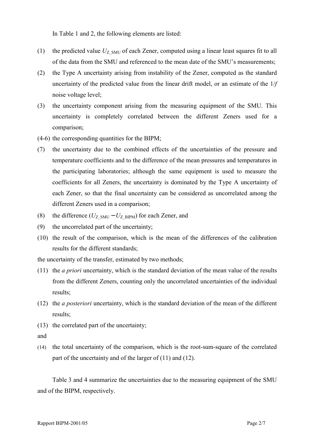In Table 1 and 2, the following elements are listed:

- (1) the predicted value  $U_{Z|SMU}$  of each Zener, computed using a linear least squares fit to all of the data from the SMU and referenced to the mean date of the SMU's measurements;
- (2) the Type A uncertainty arising from instability of the Zener, computed as the standard uncertainty of the predicted value from the linear drift model, or an estimate of the 1/*f* noise voltage level;
- (3) the uncertainty component arising from the measuring equipment of the SMU. This uncertainty is completely correlated between the different Zeners used for a comparison;
- (4-6) the corresponding quantities for the BIPM;
- (7) the uncertainty due to the combined effects of the uncertainties of the pressure and temperature coefficients and to the difference of the mean pressures and temperatures in the participating laboratories; although the same equipment is used to measure the coefficients for all Zeners, the uncertainty is dominated by the Type A uncertainty of each Zener, so that the final uncertainty can be considered as uncorrelated among the different Zeners used in a comparison;
- (8) the difference  $(U_{Z-MU} U_{Z-BIPM})$  for each Zener, and
- (9) the uncorrelated part of the uncertainty;
- (10) the result of the comparison, which is the mean of the differences of the calibration results for the different standards;

the uncertainty of the transfer, estimated by two methods;

- (11) the *a priori* uncertainty, which is the standard deviation of the mean value of the results from the different Zeners, counting only the uncorrelated uncertainties of the individual results;
- (12) the *a posteriori* uncertainty, which is the standard deviation of the mean of the different results;
- (13) the correlated part of the uncertainty;
- and
- (14) the total uncertainty of the comparison, which is the root-sum-square of the correlated part of the uncertainty and of the larger of (11) and (12).

Table 3 and 4 summarize the uncertainties due to the measuring equipment of the SMU and of the BIPM, respectively.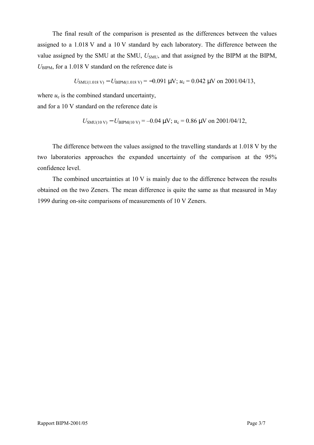The final result of the comparison is presented as the differences between the values assigned to a 1.018 V and a 10 V standard by each laboratory. The difference between the value assigned by the SMU at the SMU,  $U_{SMU}$ , and that assigned by the BIPM at the BIPM,  $U_{\text{BIPM}}$ , for a 1.018 V standard on the reference date is

$$
U_{SMU(1.018 \text{ V})} - U_{BIPM(1.018 \text{ V})} = -0.091 \text{ \mu V}; u_c = 0.042 \text{ \mu V} \text{ on } 2001/04/13,
$$

where  $u_c$  is the combined standard uncertainty,

and for a 10 V standard on the reference date is

$$
U_{SMU(10\text{ V})} - U_{BIPM(10\text{ V})} = -0.04 \text{ }\mu\text{V}; u_c = 0.86 \text{ }\mu\text{V} \text{ on } 2001/04/12,
$$

The difference between the values assigned to the travelling standards at 1.018 V by the two laboratories approaches the expanded uncertainty of the comparison at the 95% confidence level.

The combined uncertainties at 10 V is mainly due to the difference between the results obtained on the two Zeners. The mean difference is quite the same as that measured in May 1999 during on-site comparisons of measurements of 10 V Zeners.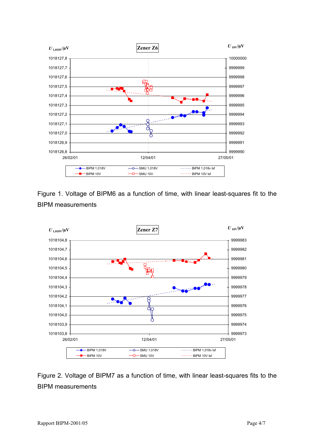

Figure 1. Voltage of BIPM6 as a function of time, with linear least-squares fit to the BIPM measurements



Figure 2. Voltage of BIPM7 as a function of time, with linear least-squares fits to the BIPM measurements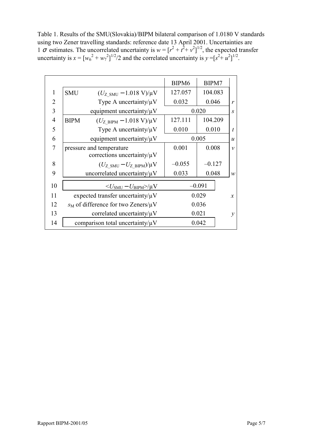Table 1. Results of the SMU(Slovakia)/BIPM bilateral comparison of 1.0180 V standards using two Zener travelling standards: reference date 13 April 2001. Uncertainties are 1  $\sigma$  estimates. The uncorrelated uncertainty is  $w = [r^2 + t^2 + v^2]^{1/2}$ , the expected transfer uncertainty is  $x = [w_6^2 + w_7^2]^{1/2}/2$  and the correlated uncertainty is  $y = [s^2 + u^2]^{1/2}$ .

|                |                                                                    | BIPM6    | BIPM7    |                  |
|----------------|--------------------------------------------------------------------|----------|----------|------------------|
| 1              | <b>SMU</b><br>$(U_{Z \text{ SMU}} - 1.018 \text{ V})/\mu\text{V}$  | 127.057  | 104.083  |                  |
| 2              | Type A uncertainty/ $\mu$ V                                        | 0.032    | 0.046    | $\mathbf{r}$     |
| 3              | equipment uncertainty/ $\mu$ V                                     |          | 0.020    | $\boldsymbol{S}$ |
| $\overline{4}$ | $(U_{Z\text{ BIPM}} - 1.018 \text{ V})/\mu\text{V}$<br><b>BIPM</b> | 127.111  | 104.209  |                  |
| 5              | Type A uncertainty/ $\mu$ V                                        | 0.010    | 0.010    | $\boldsymbol{t}$ |
| 6              | equipment uncertainty/ $\mu$ V                                     |          | 0.005    | $\boldsymbol{u}$ |
| 7              | pressure and temperature                                           | 0.001    | 0.008    | $\mathcal{V}$    |
|                | corrections uncertainty/ $\mu$ V                                   |          |          |                  |
| 8              | $(U_{Z \text{ SMU}} - U_{Z \text{ BIPM}})/\mu V$                   | $-0.055$ | $-0.127$ |                  |
| 9              | uncorrelated uncertainty/ $\mu$ V                                  | 0.033    | 0.048    | $\mathcal{W}$    |
| 10             | $<\!\!U_{\rm SMU}$ – $U_{\rm BIPM}\!\!>\!\!/\mu\rm{V}$             |          | $-0.091$ |                  |
| 11             | expected transfer uncertainty/ $\mu$ V                             |          | 0.029    | $\mathcal{X}$    |
| 12             | $s_M$ of difference for two Zeners/ $\mu$ V                        |          | 0.036    |                  |
| 13             | correlated uncertainty/ $\mu$ V                                    |          | 0.021    | $\mathcal{Y}$    |
| 14             | comparison total uncertainty/ $\mu$ V                              |          | 0.042    |                  |
|                |                                                                    |          |          |                  |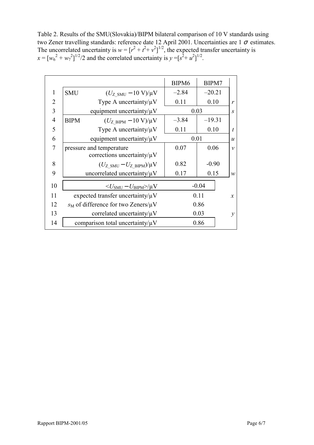Table 2. Results of the SMU(Slovakia)/BIPM bilateral comparison of 10 V standards using two Zener travelling standards: reference date 12 April 2001. Uncertainties are 1  $\sigma$  estimates. The uncorrelated uncertainty is  $w = [r^2 + t^2 + v^2]^{1/2}$ , the expected transfer uncertainty is  $x = [w_6^2 + w_7^2]^{1/2}$  and the correlated uncertainty is  $y = [s^2 + u^2]^{1/2}$ .

|                |                                                                 | BIPM <sub>6</sub> | BIPM7    |                  |
|----------------|-----------------------------------------------------------------|-------------------|----------|------------------|
| 1              | <b>SMU</b><br>$(U_{Z \text{ SMU}} - 10 \text{ V})/\mu\text{V}$  | $-2.84$           | $-20.21$ |                  |
| $\overline{2}$ | Type A uncertainty/ $\mu$ V                                     | 0.11              | 0.10     | $\mathbf{r}$     |
| 3              | equipment uncertainty/ $\mu$ V                                  |                   | 0.03     | $\boldsymbol{S}$ |
| $\overline{4}$ | <b>BIPM</b><br>$(U_{Z\text{ BIPM}} - 10 \text{ V})/\mu\text{V}$ | $-3.84$           | $-19.31$ |                  |
| 5              | Type A uncertainty/ $\mu$ V                                     | 0.11              | 0.10     | $\boldsymbol{t}$ |
| 6              | equipment uncertainty/ $\mu$ V                                  |                   | 0.01     | $\boldsymbol{u}$ |
| 7              | pressure and temperature                                        | 0.07              | 0.06     | $\mathcal{V}$    |
|                | corrections uncertainty/ $\mu$ V                                |                   |          |                  |
| 8              | $(U_{Z \text{ SMU}} - U_{Z \text{ BIPM}})/\mu V$                | 0.82              | $-0.90$  |                  |
| 9              | uncorrelated uncertainty/ $\mu$ V                               | 0.17              | 0.15     | $\mathcal{W}$    |
| 10             | $\langle U_{\text{SMU}} - U_{\text{BIPM}} \rangle / \mu V$      |                   | $-0.04$  |                  |
| 11             | expected transfer uncertainty/ $\mu$ V                          |                   | 0.11     | $\mathfrak{X}$   |
| 12             | $s_M$ of difference for two Zeners/ $\mu$ V                     |                   | 0.86     |                  |
| 13             | correlated uncertainty/ $\mu$ V                                 |                   | 0.03     | $\mathcal{V}$    |
| 14             | comparison total uncertainty/ $\mu$ V                           |                   | 0.86     |                  |
|                |                                                                 |                   |          |                  |